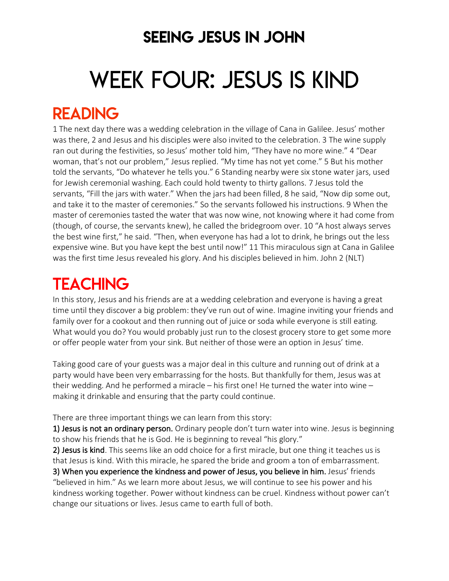### SEEING JESUS IN JOHN

# WEEK FOUR: JESUS IS KIND

### READING

1 The next day there was a wedding celebration in the village of Cana in Galilee. Jesus' mother was there, 2 and Jesus and his disciples were also invited to the celebration. 3 The wine supply ran out during the festivities, so Jesus' mother told him, "They have no more wine." 4 "Dear woman, that's not our problem," Jesus replied. "My time has not yet come." 5 But his mother told the servants, "Do whatever he tells you." 6 Standing nearby were six stone water jars, used for Jewish ceremonial washing. Each could hold twenty to thirty gallons. 7 Jesus told the servants, "Fill the jars with water." When the jars had been filled, 8 he said, "Now dip some out, and take it to the master of ceremonies." So the servants followed his instructions. 9 When the master of ceremonies tasted the water that was now wine, not knowing where it had come from (though, of course, the servants knew), he called the bridegroom over. 10 "A host always serves the best wine first," he said. "Then, when everyone has had a lot to drink, he brings out the less expensive wine. But you have kept the best until now!" 11 This miraculous sign at Cana in Galilee was the first time Jesus revealed his glory. And his disciples believed in him. John 2 (NLT)

# **TEACHING**

In this story, Jesus and his friends are at a wedding celebration and everyone is having a great time until they discover a big problem: they've run out of wine. Imagine inviting your friends and family over for a cookout and then running out of juice or soda while everyone is still eating. What would you do? You would probably just run to the closest grocery store to get some more or offer people water from your sink. But neither of those were an option in Jesus' time.

Taking good care of your guests was a major deal in this culture and running out of drink at a party would have been very embarrassing for the hosts. But thankfully for them, Jesus was at their wedding. And he performed a miracle – his first one! He turned the water into wine – making it drinkable and ensuring that the party could continue.

There are three important things we can learn from this story:

1) Jesus is not an ordinary person. Ordinary people don't turn water into wine. Jesus is beginning to show his friends that he is God. He is beginning to reveal "his glory."

2) Jesus is kind. This seems like an odd choice for a first miracle, but one thing it teaches us is that Jesus is kind. With this miracle, he spared the bride and groom a ton of embarrassment. 3) When you experience the kindness and power of Jesus, you believe in him. Jesus' friends "believed in him." As we learn more about Jesus, we will continue to see his power and his kindness working together. Power without kindness can be cruel. Kindness without power can't change our situations or lives. Jesus came to earth full of both.